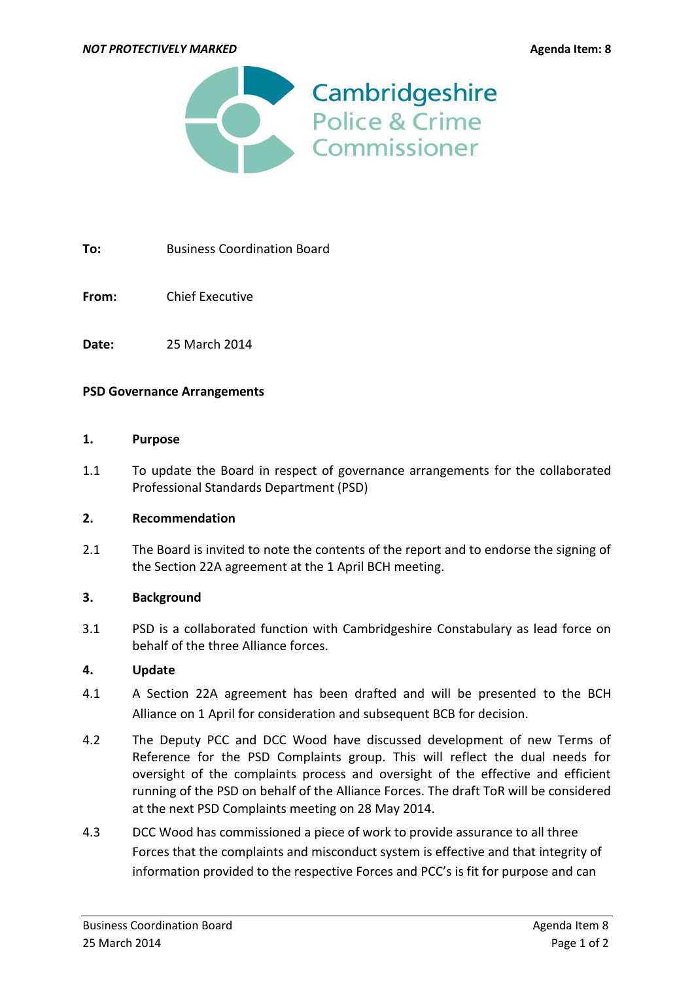

**To:** Business Coordination Board

**From:** Chief Executive

**Date:** 25 March 2014

### **PSD Governance Arrangements**

#### **1. Purpose**

1.1 To update the Board in respect of governance arrangements for the collaborated Professional Standards Department (PSD)

## **2. Recommendation**

2.1 The Board is invited to note the contents of the report and to endorse the signing of the Section 22A agreement at the 1 April BCH meeting.

### **3. Background**

3.1 PSD is a collaborated function with Cambridgeshire Constabulary as lead force on behalf of the three Alliance forces.

### **4. Update**

- 4.1 A Section 22A agreement has been drafted and will be presented to the BCH Alliance on 1 April for consideration and subsequent BCB for decision.
- 4.2 The Deputy PCC and DCC Wood have discussed development of new Terms of Reference for the PSD Complaints group. This will reflect the dual needs for oversight of the complaints process and oversight of the effective and efficient running of the PSD on behalf of the Alliance Forces. The draft ToR will be considered at the next PSD Complaints meeting on 28 May 2014.
- 4.3 DCC Wood has commissioned a piece of work to provide assurance to all three Forces that the complaints and misconduct system is effective and that integrity of information provided to the respective Forces and PCC's is fit for purpose and can